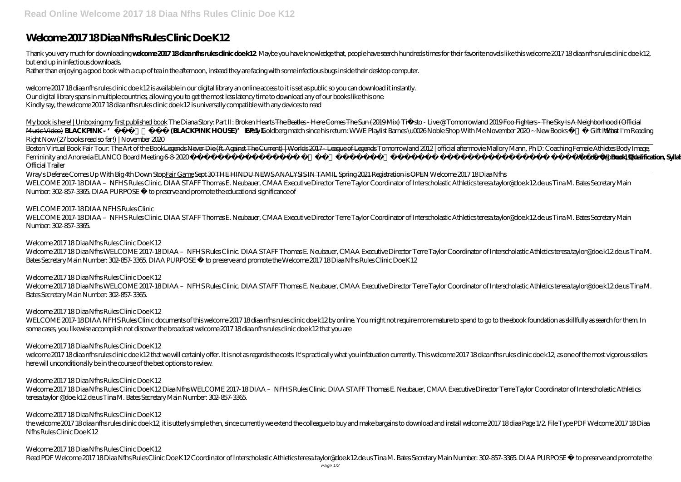# **Welcome 2017 18 Diaa Nfhs Rules Clinic Doe K12**

Thank you very much for downloading welcome 2017 18diaanfhsnulesdinic doe k12 Maybe you have knowledge that, people have search hundreds times for their favorite novels like this welcome 2017 18 diaa nfhs rules clinic doe but end up in infectious downloads.

Rather than enjoying a good book with a cup of tea in the afternoon, instead they are facing with some infectious bugs inside their desktop computer.

My book is here! | Unboxing my first published book The Diana Story: Part II: Broken Hearts The Beatles - Here Comes The Sun (2019 Mix) Tië sto - Live @ Tomorrowland 2019 Foo Fighters - The Sky Is A Neighborhood (Official Music Video) **BLACKPINK - '** (BLACKPINK HOUSE)' EP.1-1 *Every Goldberg match since his return: WWE Playlist Barnes \u0026Noble Shop With Me November 2020~ New Books Gift Ideas and I'm Reading Right Now (27 books read so far!) | November 2020*

Boston Virtual Book Fair Tour: The Art of the Book<del>Legends Never Die (ft. Against The Current) |Worlds 2017 League of Legends</del> Tomorrowland 2012 | official aftermovie Mallory Mann, Ph D: Coaching Female Athletes Body Image *Femininity and Anorexia ELANCO Board Meeting 6-8-2020 Canadidation Book, Qualification, Syllabus, Marks, Relaxation||Full Details Wonder Woman 1984 –* 

welcome 2017 18 diaa nfhs rules clinic doe k12 is available in our digital library an online access to it is set as public so you can download it instantly. Our digital library spans in multiple countries, allowing you to get the most less latency time to download any of our books like this one. Kindly say, the welcome 2017 18 diaa nfhs rules clinic doe k12 is universally compatible with any devices to read

WELCOME 2017-18 DIAA – NFHS Rules Clinic. DIAA STAFF Thomas E. Neubauer, CMAA Executive Director Terre Taylor Coordinator of Interscholastic Athletics teresa.taylor@doe.k12.de.us Tina M. Bates Secretary Main Number: 302-857-3365.

Welcome 2017 18 Diaa Nfhs WELCOME 2017-18 DIAA – NFHS Rules Clinic. DIAA STAFF Thomas E. Neubauer, CMAA Executive Director Terre Taylor Coordinator of Interscholastic Athletics teresa.taylor@doe.k12.de.us Tina M. Bates Secretary Main Number: 302-857-3365. DIAA PURPOSE • to preserve and promote the Welcome 2017 18 Diaa Nfhs Rules Clinic Doe K12

Welcome 2017 18 Diaa Nfhs WELCOME 2017-18 DIAA – NFHS Rules Clinic. DIAA STAFF Thomas E. Neubauer, CMAA Executive Director Terre Taylor Coordinator of Interscholastic Athletics teresa.taylor@doe.k12.de.us Tina M. Bates Secretary Main Number: 302-857-3365.

*Official Trailer*

WELCOME 2017-18 DIAA NFHS Rules Clinic documents of this welcome 2017 18 diaa nfhs rules clinic doe k12 by online. You might not require more mature to spend to go to the ebook foundation as skillfully as search for them. some cases, you likewise accomplish not discover the broadcast welcome 2017 18 diaa nfhs rules clinic doe k12 that you are

welcome 2017 18 diaanfhs rules clinic doe k12 that we will certainly offer. It is not as regards the costs. It's practically what you infatuation currently. This welcome 2017 18 diaanfhs rules clinic doe k12, as one of the here will unconditionally be in the course of the best options to review.

Wray's Defense Comes Up With Big 4th Down StopFair Game Sept 30 THE HINDU NEWS ANALYSIS IN TAMIL Spring 2021 Registration is OPEN *Welcome 2017 18 Diaa Nfhs* WELCOME 2017-18 DIAA – NFHS Rules Clinic. DIAA STAFF Thomas E. Neubauer, CMAA Executive Director Terre Taylor Coordinator of Interscholastic Athletics teresa.taylor@doe.k12.de.us Tina M. Bates Secretary Main Number: 302-857-3365. DIAA PURPOSE • to preserve and promote the educational significance of

Welcome 2017 18 Diaa Nfhs Rules Clinic Doe K12 Diaa Nfhs WELCOME 2017-18 DIAA – NFHS Rules Clinic. DIAA STAFF Thomas E. Neubauer, CMAA Executive Director Terre Taylor Coordinator of Interscholastic Athletics teresa.taylor @doe.k12.de.us Tina M. Bates Secretary Main Number: 302-857-3365.

# *WELCOME 2017-18 DIAA NFHS Rules Clinic*

the welcome 2017 18 diaa nfhs rules clinic doe k12, it is utterly simple then, since currently we extend the colleague to buy and make bargains to download and install welcome 2017 18 diaa Page 1/2. File Type PDF Welcome 2 Nfhs Rules Clinic Doe K12

*Welcome 2017 18 Diaa Nfhs Rules Clinic Doe K12*

# *Welcome 2017 18 Diaa Nfhs Rules Clinic Doe K12*

*Welcome 2017 18 Diaa Nfhs Rules Clinic Doe K12*

# *Welcome 2017 18 Diaa Nfhs Rules Clinic Doe K12*

# *Welcome 2017 18 Diaa Nfhs Rules Clinic Doe K12*

# *Welcome 2017 18 Diaa Nfhs Rules Clinic Doe K12*

# *Welcome 2017 18 Diaa Nfhs Rules Clinic Doe K12*

Read PDF Welcome 2017 18 Diaa Nfhs Rules Clinic Doe K12 Coordinator of Interscholastic Athletics teresa.taylor@doe.k12.de.us Tina M. Bates Secretary Main Number: 302-857-3365. DIAA PURPOSE • to preserve and promote the